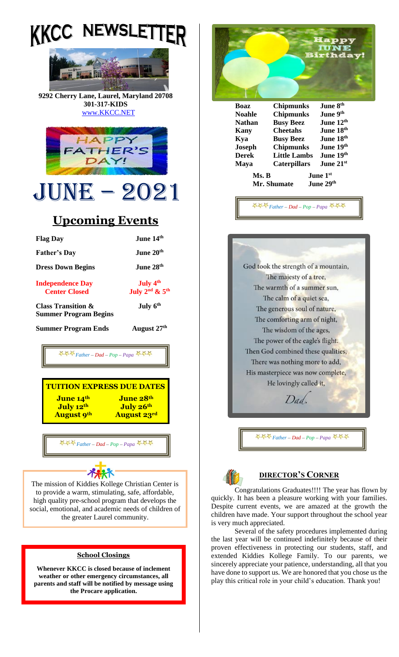



**9292 Cherry Lane, Laurel, Maryland 20708 301-317-KIDS** [www.KKCC.NET](http://www.kkcc.net/)



# June – 2021

# **Upcoming Events**

| <b>Flag Day</b>                                                                                                                                              | June 14th                                                |  |  |
|--------------------------------------------------------------------------------------------------------------------------------------------------------------|----------------------------------------------------------|--|--|
| <b>Father's Day</b>                                                                                                                                          | June 20th                                                |  |  |
| <b>Dress Down Begins</b>                                                                                                                                     | June 28th                                                |  |  |
| <b>Independence Day</b><br><b>Center Closed</b>                                                                                                              | July 4 <sup>th</sup><br>July $2nd$ & $5th$               |  |  |
| <b>Class Transition &amp;</b><br><b>Summer Program Begins</b>                                                                                                | July 6th                                                 |  |  |
| <b>Summer Program Ends</b>                                                                                                                                   | August 27th                                              |  |  |
| $\leftrightarrow$ $\leftrightarrow$ Father – Dad – Pop – Papa $\leftrightarrow$ $\leftrightarrow$                                                            |                                                          |  |  |
| <b>TUITION EXPRESS DUE DATES</b><br>June 14 <sup>th</sup><br>July 12th<br><b>August 9th</b>                                                                  | June 28 <sup>th</sup><br>July 26th<br><b>August 23rd</b> |  |  |
| 추추주 Father - Dad - Pop - Papa 주주주                                                                                                                            |                                                          |  |  |
|                                                                                                                                                              |                                                          |  |  |
| The mission of Kiddies Kollege Christian Center is<br>to provide a warm, stimulating, safe, affordable,<br>high quality pre-school program that develops the |                                                          |  |  |

#### **School Closings**

**Whenever KKCC is closed because of inclement weather or other emergency circumstances, all parents and staff will be notified by message using the Procare application.**





*Father – Dad – Pop – Papa* 



## **DIRECTOR'S CORNER**

Congratulations Graduates!!!! The year has flown by quickly. It has been a pleasure working with your families. Despite current events, we are amazed at the growth the children have made. Your support throughout the school year is very much appreciated.

Several of the safety procedures implemented during the last year will be continued indefinitely because of their proven effectiveness in protecting our students, staff, and extended Kiddies Kollege Family. To our parents, we sincerely appreciate your patience, understanding, all that you have done to support us. We are honored that you chose us the play this critical role in your child's education. Thank you!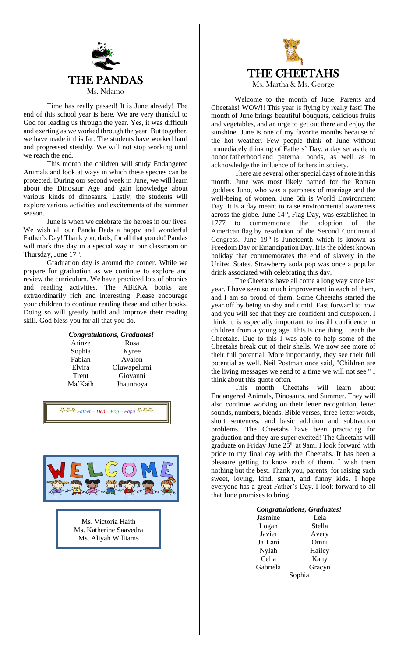

Time has really passed! It is June already! The end of this school year is here. We are very thankful to God for leading us through the year. Yes, it was difficult and exerting as we worked through the year. But together, we have made it this far. The students have worked hard and progressed steadily. We will not stop working until we reach the end.

This month the children will study Endangered Animals and look at ways in which these species can be protected. During our second week in June, we will learn about the Dinosaur Age and gain knowledge about various kinds of dinosaurs. Lastly, the students will explore various activities and excitements of the summer season.

June is when we celebrate the heroes in our lives. We wish all our Panda Dads a happy and wonderful Father's Day! Thank you, dads, for all that you do! Pandas will mark this day in a special way in our classroom on Thursday, June  $17<sup>th</sup>$ .

Graduation day is around the corner. While we prepare for graduation as we continue to explore and review the curriculum. We have practiced lots of phonics and reading activities. The ABEKA books are extraordinarily rich and interesting. Please encourage your children to continue reading these and other books. Doing so will greatly build and improve their reading skill. God bless you for all that you do.

#### *Congratulations, Graduates!*

Arinze Rosa Sophia Kyree Fabian Avalon Elvira Oluwapelumi Trent Giovanni Ma'Kaih Jhaunnoya

*Father – Dad – Pop – Papa* 



Ms. Victoria Haith Ms. Katherine Saavedra Ms. Aliyah Williams



Welcome to the month of June, Parents and Cheetahs! WOW!! This year is flying by really fast! The month of June brings beautiful bouquets, delicious fruits and vegetables, and an urge to get out there and enjoy the sunshine. June is one of my favorite months because of the hot weather. Few people think of June without immediately thinking of Fathers' Day, a day set aside to honor fatherhood and paternal bonds, as well as to acknowledge the influence of fathers in society.

There are several other special days of note in this month. June was most likely named for the Roman goddess Juno, who was a patroness of marriage and the well-being of women. June 5th is World Environment Day. It is a day meant to raise environmental awareness across the globe. June 14<sup>th</sup>, Flag Day, was established in 1777 to commemorate the adoption of the American flag by resolution of the Second Continental Congress. June  $19<sup>th</sup>$  is Juneteenth which is known as Freedom Day or Emancipation Day. It is the oldest known holiday that commemorates the end of slavery in the United States. Strawberry soda pop was once a popular drink associated with celebrating this day.

The Cheetahs have all come a long way since last year. I have seen so much improvement in each of them, and I am so proud of them. Some Cheetahs started the year off by being so shy and timid. Fast forward to now and you will see that they are confident and outspoken. I think it is especially important to instill confidence in children from a young age. This is one thing I teach the Cheetahs. Due to this I was able to help some of the Cheetahs break out of their shells. We now see more of their full potential. More importantly, they see their full potential as well. Neil Postman once said, "Children are the living messages we send to a time we will not see." I think about this quote often.

This month Cheetahs will learn about Endangered Animals, Dinosaurs, and Summer. They will also continue working on their letter recognition, letter sounds, numbers, blends, Bible verses, three-letter words, short sentences, and basic addition and subtraction problems. The Cheetahs have been practicing for graduation and they are super excited! The Cheetahs will graduate on Friday June  $25<sup>th</sup>$  at 9am. I look forward with pride to my final day with the Cheetahs. It has been a pleasure getting to know each of them. I wish them nothing but the best. Thank you, parents, for raising such sweet, loving, kind, smart, and funny kids. I hope everyone has a great Father's Day. I look forward to all that June promises to bring.

|          | <b>Congratulations, Graduates!</b> |  |
|----------|------------------------------------|--|
| Jasmine  | Leia                               |  |
| Logan    | Stella                             |  |
| Javier   | Avery                              |  |
| Ja'Lani  | Omni                               |  |
| Nylah    | Hailey                             |  |
| Celia    | Kany                               |  |
| Gabriela | Gracyn                             |  |
| Sophia   |                                    |  |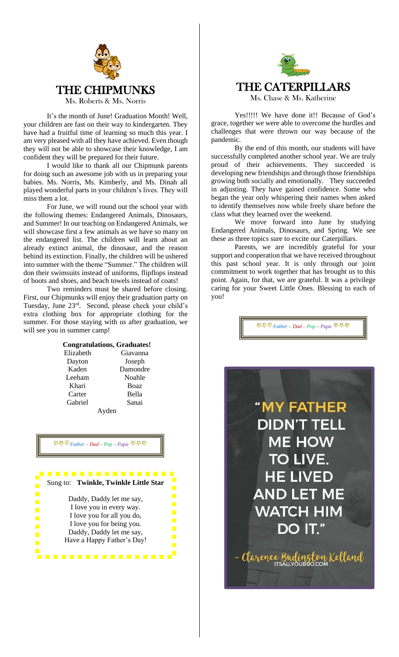

It's the month of June! Graduation Month! Well, your children are fast on their way to kindergarten. They have had a fruitful time of learning so much this year. I am very pleased with all they have achieved. Even though they will not be able to showcase their knowledge, I am confident they will be prepared for their future.

I would like to thank all our Chipmunk parents for doing such an awesome job with us in preparing your babies. Ms. Norris, Ms. Kimberly, and Ms. Dinah all played wonderful parts in your children's lives. They will miss them a lot.

For June, we will round out the school year with the following themes: Endangered Animals, Dinosaurs, and Summer! In our teaching on Endangered Animals, we will showcase first a few animals as we have so many on the endangered list. The children will learn about an already extinct animal, the dinosaur, and the reason behind its extinction. Finally, the children will be ushered into summer with the theme "Summer." The children will don their swimsuits instead of uniforms, flipflops instead of boots and shoes, and beach towels instead of coats!

Two reminders must be shared before closing. First, our Chipmunks will enjoy their graduation party on Tuesday, June 23rd . Second, please check your child's extra clothing box for appropriate clothing for the summer. For those staying with us after graduation, we will see you in summer camp!

#### **Congratulations, Graduates!**

| Elizabeth |       | Giavanna    |
|-----------|-------|-------------|
| Dayton    |       | Joseph      |
| Kaden     |       | Damondre    |
| Leeham    |       | Noahle      |
| Khari     |       | <b>Boaz</b> |
| Carter    |       | Bella       |
| Gabriel   |       | Sanai       |
|           | ∆vden |             |

Ayden

### *Father – Dad – Pop – Papa*





Yes!!!!! We have done it!! Because of God's grace, together we were able to overcome the hurdles and challenges that were thrown our way because of the pandemic.

By the end of this month, our students will have successfully completed another school year. We are truly proud of their achievements. They succeeded is developing new friendships and through those friendships growing both socially and emotionally. They succeeded in adjusting. They have gained confidence. Some who began the year only whispering their names when asked to identify themselves now while freely share before the class what they learned over the weekend.

We move forward into June by studying Endangered Animals, Dinosaurs, and Spring. We see these as three topics sure to excite our Caterpillars.

Parents, we are incredibly grateful for your support and cooperation that we have received throughout this past school year. It is only through our joint commitment to work together that has brought us to this point. Again, for that, we are grateful. It was a privilege caring for your Sweet Little Ones. Blessing to each of you!

*Father – Dad – Pop – Papa*